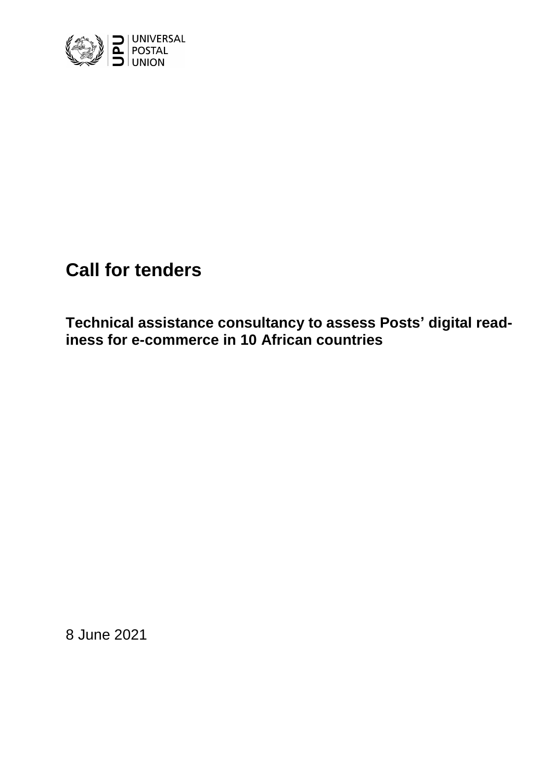

# **Call for tenders**

**Technical assistance consultancy to assess Posts' digital readiness for e-commerce in 10 African countries**

8 June 2021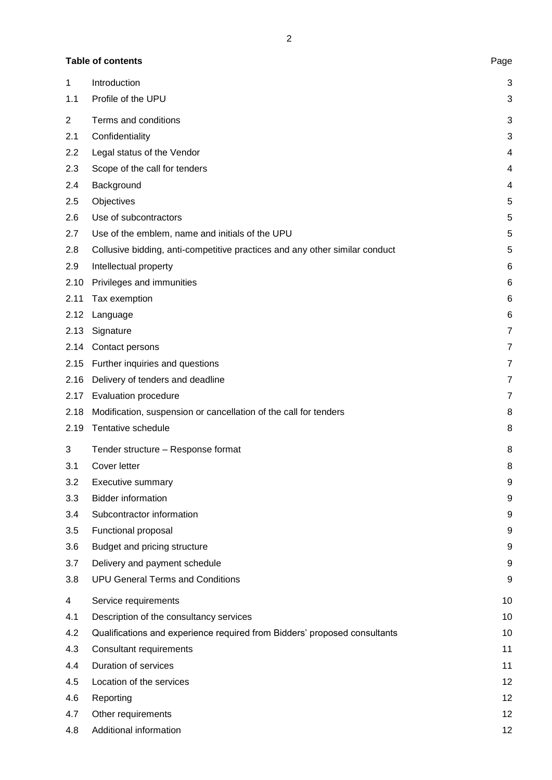2

## Table of contents **Page**

| 1              | Introduction                                                                | 3              |
|----------------|-----------------------------------------------------------------------------|----------------|
| 1.1            | Profile of the UPU                                                          | 3              |
| $\overline{2}$ | Terms and conditions                                                        | 3              |
| 2.1            | Confidentiality                                                             | 3              |
| 2.2            | Legal status of the Vendor                                                  | 4              |
| 2.3            | Scope of the call for tenders                                               | 4              |
| 2.4            | Background                                                                  | 4              |
| 2.5            | Objectives                                                                  | 5              |
| 2.6            | Use of subcontractors                                                       | 5              |
| 2.7            | Use of the emblem, name and initials of the UPU                             | 5              |
| 2.8            | Collusive bidding, anti-competitive practices and any other similar conduct | 5              |
| 2.9            | Intellectual property                                                       | 6              |
| 2.10           | Privileges and immunities                                                   | 6              |
| 2.11           | Tax exemption                                                               | 6              |
| 2.12           | Language                                                                    | 6              |
| 2.13           | Signature                                                                   | 7              |
| 2.14           | Contact persons                                                             | 7              |
| 2.15           | Further inquiries and questions                                             | 7              |
| 2.16           | Delivery of tenders and deadline                                            | $\overline{7}$ |
| 2.17           | Evaluation procedure                                                        | $\overline{7}$ |
| 2.18           | Modification, suspension or cancellation of the call for tenders            | 8              |
| 2.19           | Tentative schedule                                                          | 8              |
| 3              | Tender structure - Response format                                          | 8              |
| 3.1            | Cover letter                                                                | 8              |
| 3.2            | Executive summary                                                           | 9              |
| 3.3            | <b>Bidder information</b>                                                   | 9              |
| 3.4            | Subcontractor information                                                   | 9              |
| 3.5            | Functional proposal                                                         | 9              |
| 3.6            | Budget and pricing structure                                                | 9              |
| 3.7            | Delivery and payment schedule                                               | 9              |
| 3.8            | <b>UPU General Terms and Conditions</b>                                     | 9              |
| 4              | Service requirements                                                        | 10             |
| 4.1            | Description of the consultancy services                                     | 10             |
| 4.2            | Qualifications and experience required from Bidders' proposed consultants   | 10             |
| 4.3            | Consultant requirements                                                     | 11             |
| 4.4            | Duration of services                                                        | 11             |
| 4.5            | Location of the services                                                    | 12             |
| 4.6            | Reporting                                                                   | 12             |
| 4.7            | Other requirements                                                          | 12             |
| 4.8            | Additional information                                                      | 12             |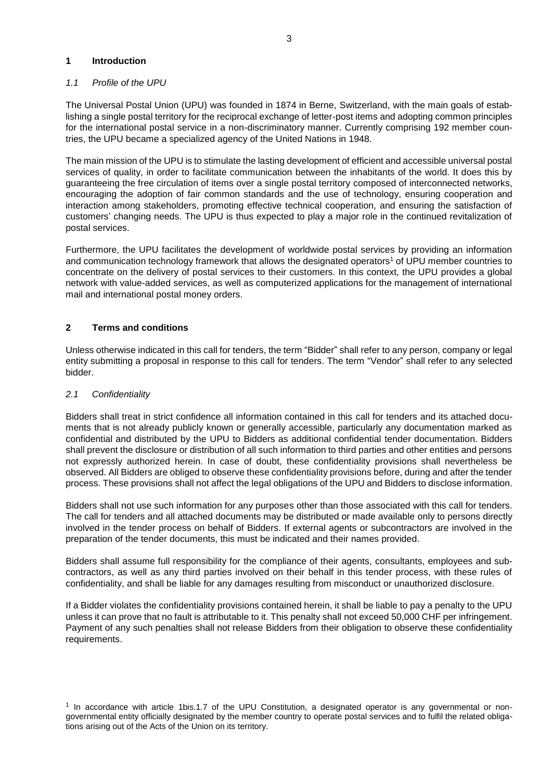#### <span id="page-2-0"></span>**1 Introduction**

## <span id="page-2-1"></span>*1.1 Profile of the UPU*

The Universal Postal Union (UPU) was founded in 1874 in Berne, Switzerland, with the main goals of establishing a single postal territory for the reciprocal exchange of letter-post items and adopting common principles for the international postal service in a non-discriminatory manner. Currently comprising 192 member countries, the UPU became a specialized agency of the United Nations in 1948.

The main mission of the UPU is to stimulate the lasting development of efficient and accessible universal postal services of quality, in order to facilitate communication between the inhabitants of the world. It does this by guaranteeing the free circulation of items over a single postal territory composed of interconnected networks, encouraging the adoption of fair common standards and the use of technology, ensuring cooperation and interaction among stakeholders, promoting effective technical cooperation, and ensuring the satisfaction of customers' changing needs. The UPU is thus expected to play a major role in the continued revitalization of postal services.

Furthermore, the UPU facilitates the development of worldwide postal services by providing an information and communication technology framework that allows the designated operators<sup>1</sup> of UPU member countries to concentrate on the delivery of postal services to their customers. In this context, the UPU provides a global network with value-added services, as well as computerized applications for the management of international mail and international postal money orders.

## <span id="page-2-2"></span>**2 Terms and conditions**

Unless otherwise indicated in this call for tenders, the term "Bidder" shall refer to any person, company or legal entity submitting a proposal in response to this call for tenders. The term "Vendor" shall refer to any selected bidder.

#### <span id="page-2-3"></span>*2.1 Confidentiality*

Bidders shall treat in strict confidence all information contained in this call for tenders and its attached documents that is not already publicly known or generally accessible, particularly any documentation marked as confidential and distributed by the UPU to Bidders as additional confidential tender documentation. Bidders shall prevent the disclosure or distribution of all such information to third parties and other entities and persons not expressly authorized herein. In case of doubt, these confidentiality provisions shall nevertheless be observed. All Bidders are obliged to observe these confidentiality provisions before, during and after the tender process. These provisions shall not affect the legal obligations of the UPU and Bidders to disclose information.

Bidders shall not use such information for any purposes other than those associated with this call for tenders. The call for tenders and all attached documents may be distributed or made available only to persons directly involved in the tender process on behalf of Bidders. If external agents or subcontractors are involved in the preparation of the tender documents, this must be indicated and their names provided.

Bidders shall assume full responsibility for the compliance of their agents, consultants, employees and subcontractors, as well as any third parties involved on their behalf in this tender process, with these rules of confidentiality, and shall be liable for any damages resulting from misconduct or unauthorized disclosure.

If a Bidder violates the confidentiality provisions contained herein, it shall be liable to pay a penalty to the UPU unless it can prove that no fault is attributable to it. This penalty shall not exceed 50,000 CHF per infringement. Payment of any such penalties shall not release Bidders from their obligation to observe these confidentiality requirements.

<sup>1</sup> In accordance with article 1bis.1.7 of the UPU Constitution, a designated operator is any governmental or nongovernmental entity officially designated by the member country to operate postal services and to fulfil the related obligations arising out of the Acts of the Union on its territory.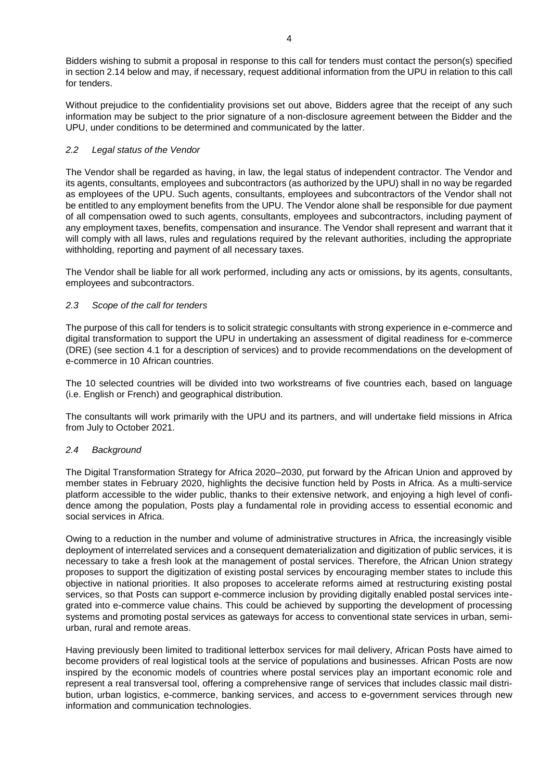Bidders wishing to submit a proposal in response to this call for tenders must contact the person(s) specified in section 2.14 below and may, if necessary, request additional information from the UPU in relation to this call for tenders.

Without prejudice to the confidentiality provisions set out above, Bidders agree that the receipt of any such information may be subject to the prior signature of a non-disclosure agreement between the Bidder and the UPU, under conditions to be determined and communicated by the latter.

## <span id="page-3-0"></span>*2.2 Legal status of the Vendor*

The Vendor shall be regarded as having, in law, the legal status of independent contractor. The Vendor and its agents, consultants, employees and subcontractors (as authorized by the UPU) shall in no way be regarded as employees of the UPU. Such agents, consultants, employees and subcontractors of the Vendor shall not be entitled to any employment benefits from the UPU. The Vendor alone shall be responsible for due payment of all compensation owed to such agents, consultants, employees and subcontractors, including payment of any employment taxes, benefits, compensation and insurance. The Vendor shall represent and warrant that it will comply with all laws, rules and regulations required by the relevant authorities, including the appropriate withholding, reporting and payment of all necessary taxes.

The Vendor shall be liable for all work performed, including any acts or omissions, by its agents, consultants, employees and subcontractors.

## <span id="page-3-1"></span>*2.3 Scope of the call for tenders*

The purpose of this call for tenders is to solicit strategic consultants with strong experience in e-commerce and digital transformation to support the UPU in undertaking an assessment of digital readiness for e-commerce (DRE) (see section 4.1 for a description of services) and to provide recommendations on the development of e-commerce in 10 African countries.

The 10 selected countries will be divided into two workstreams of five countries each, based on language (i.e. English or French) and geographical distribution.

The consultants will work primarily with the UPU and its partners, and will undertake field missions in Africa from July to October 2021.

## <span id="page-3-2"></span>*2.4 Background*

The Digital Transformation Strategy for Africa 2020–2030, put forward by the African Union and approved by member states in February 2020, highlights the decisive function held by Posts in Africa. As a multi-service platform accessible to the wider public, thanks to their extensive network, and enjoying a high level of confidence among the population, Posts play a fundamental role in providing access to essential economic and social services in Africa.

Owing to a reduction in the number and volume of administrative structures in Africa, the increasingly visible deployment of interrelated services and a consequent dematerialization and digitization of public services, it is necessary to take a fresh look at the management of postal services. Therefore, the African Union strategy proposes to support the digitization of existing postal services by encouraging member states to include this objective in national priorities. It also proposes to accelerate reforms aimed at restructuring existing postal services, so that Posts can support e-commerce inclusion by providing digitally enabled postal services integrated into e-commerce value chains. This could be achieved by supporting the development of processing systems and promoting postal services as gateways for access to conventional state services in urban, semiurban, rural and remote areas.

Having previously been limited to traditional letterbox services for mail delivery, African Posts have aimed to become providers of real logistical tools at the service of populations and businesses. African Posts are now inspired by the economic models of countries where postal services play an important economic role and represent a real transversal tool, offering a comprehensive range of services that includes classic mail distribution, urban logistics, e-commerce, banking services, and access to e-government services through new information and communication technologies.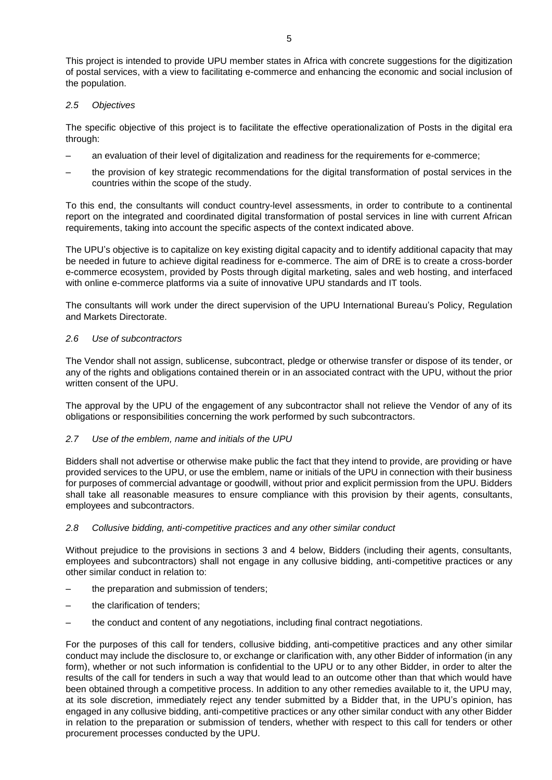This project is intended to provide UPU member states in Africa with concrete suggestions for the digitization of postal services, with a view to facilitating e-commerce and enhancing the economic and social inclusion of the population.

#### <span id="page-4-0"></span>*2.5 Objectives*

The specific objective of this project is to facilitate the effective operationalization of Posts in the digital era through:

- an evaluation of their level of digitalization and readiness for the requirements for e-commerce;
- the provision of key strategic recommendations for the digital transformation of postal services in the countries within the scope of the study.

To this end, the consultants will conduct country-level assessments, in order to contribute to a continental report on the integrated and coordinated digital transformation of postal services in line with current African requirements, taking into account the specific aspects of the context indicated above.

The UPU's objective is to capitalize on key existing digital capacity and to identify additional capacity that may be needed in future to achieve digital readiness for e-commerce. The aim of DRE is to create a cross-border e-commerce ecosystem, provided by Posts through digital marketing, sales and web hosting, and interfaced with online e-commerce platforms via a suite of innovative UPU standards and IT tools.

The consultants will work under the direct supervision of the UPU International Bureau's Policy, Regulation and Markets Directorate.

## <span id="page-4-1"></span>*2.6 Use of subcontractors*

The Vendor shall not assign, sublicense, subcontract, pledge or otherwise transfer or dispose of its tender, or any of the rights and obligations contained therein or in an associated contract with the UPU, without the prior written consent of the UPU.

The approval by the UPU of the engagement of any subcontractor shall not relieve the Vendor of any of its obligations or responsibilities concerning the work performed by such subcontractors.

#### <span id="page-4-2"></span>*2.7 Use of the emblem, name and initials of the UPU*

Bidders shall not advertise or otherwise make public the fact that they intend to provide, are providing or have provided services to the UPU, or use the emblem, name or initials of the UPU in connection with their business for purposes of commercial advantage or goodwill, without prior and explicit permission from the UPU. Bidders shall take all reasonable measures to ensure compliance with this provision by their agents, consultants, employees and subcontractors.

#### <span id="page-4-3"></span>*2.8 Collusive bidding, anti-competitive practices and any other similar conduct*

Without prejudice to the provisions in sections 3 and 4 below, Bidders (including their agents, consultants, employees and subcontractors) shall not engage in any collusive bidding, anti-competitive practices or any other similar conduct in relation to:

- the preparation and submission of tenders;
- the clarification of tenders;
- the conduct and content of any negotiations, including final contract negotiations.

For the purposes of this call for tenders, collusive bidding, anti-competitive practices and any other similar conduct may include the disclosure to, or exchange or clarification with, any other Bidder of information (in any form), whether or not such information is confidential to the UPU or to any other Bidder, in order to alter the results of the call for tenders in such a way that would lead to an outcome other than that which would have been obtained through a competitive process. In addition to any other remedies available to it, the UPU may, at its sole discretion, immediately reject any tender submitted by a Bidder that, in the UPU's opinion, has engaged in any collusive bidding, anti-competitive practices or any other similar conduct with any other Bidder in relation to the preparation or submission of tenders, whether with respect to this call for tenders or other procurement processes conducted by the UPU.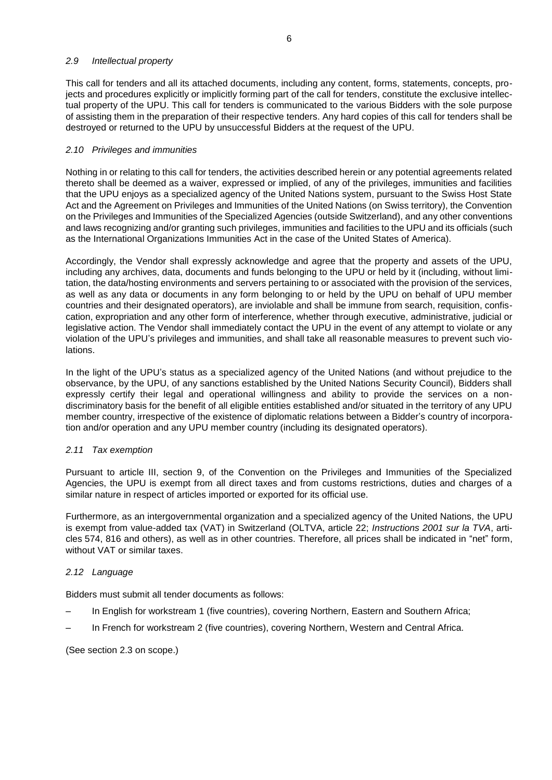#### <span id="page-5-0"></span>*2.9 Intellectual property*

This call for tenders and all its attached documents, including any content, forms, statements, concepts, projects and procedures explicitly or implicitly forming part of the call for tenders, constitute the exclusive intellectual property of the UPU. This call for tenders is communicated to the various Bidders with the sole purpose of assisting them in the preparation of their respective tenders. Any hard copies of this call for tenders shall be destroyed or returned to the UPU by unsuccessful Bidders at the request of the UPU.

## <span id="page-5-1"></span>*2.10 Privileges and immunities*

Nothing in or relating to this call for tenders, the activities described herein or any potential agreements related thereto shall be deemed as a waiver, expressed or implied, of any of the privileges, immunities and facilities that the UPU enjoys as a specialized agency of the United Nations system, pursuant to the Swiss Host State Act and the Agreement on Privileges and Immunities of the United Nations (on Swiss territory), the Convention on the Privileges and Immunities of the Specialized Agencies (outside Switzerland), and any other conventions and laws recognizing and/or granting such privileges, immunities and facilities to the UPU and its officials (such as the International Organizations Immunities Act in the case of the United States of America).

Accordingly, the Vendor shall expressly acknowledge and agree that the property and assets of the UPU, including any archives, data, documents and funds belonging to the UPU or held by it (including, without limitation, the data/hosting environments and servers pertaining to or associated with the provision of the services, as well as any data or documents in any form belonging to or held by the UPU on behalf of UPU member countries and their designated operators), are inviolable and shall be immune from search, requisition, confiscation, expropriation and any other form of interference, whether through executive, administrative, judicial or legislative action. The Vendor shall immediately contact the UPU in the event of any attempt to violate or any violation of the UPU's privileges and immunities, and shall take all reasonable measures to prevent such violations.

In the light of the UPU's status as a specialized agency of the United Nations (and without prejudice to the observance, by the UPU, of any sanctions established by the United Nations Security Council), Bidders shall expressly certify their legal and operational willingness and ability to provide the services on a nondiscriminatory basis for the benefit of all eligible entities established and/or situated in the territory of any UPU member country, irrespective of the existence of diplomatic relations between a Bidder's country of incorporation and/or operation and any UPU member country (including its designated operators).

## <span id="page-5-2"></span>*2.11 Tax exemption*

Pursuant to article III, section 9, of the Convention on the Privileges and Immunities of the Specialized Agencies, the UPU is exempt from all direct taxes and from customs restrictions, duties and charges of a similar nature in respect of articles imported or exported for its official use.

Furthermore, as an intergovernmental organization and a specialized agency of the United Nations, the UPU is exempt from value-added tax (VAT) in Switzerland (OLTVA, article 22; *Instructions 2001 sur la TVA*, articles 574, 816 and others), as well as in other countries. Therefore, all prices shall be indicated in "net" form, without VAT or similar taxes.

## <span id="page-5-3"></span>*2.12 Language*

Bidders must submit all tender documents as follows:

- In English for workstream 1 (five countries), covering Northern, Eastern and Southern Africa;
- In French for workstream 2 (five countries), covering Northern, Western and Central Africa.

(See section 2.3 on scope.)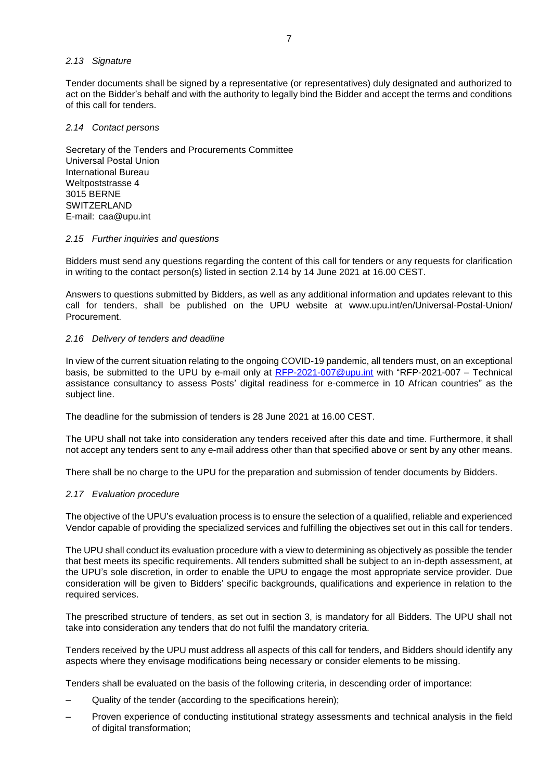## <span id="page-6-0"></span>*2.13 Signature*

Tender documents shall be signed by a representative (or representatives) duly designated and authorized to act on the Bidder's behalf and with the authority to legally bind the Bidder and accept the terms and conditions of this call for tenders.

## <span id="page-6-1"></span>*2.14 Contact persons*

Secretary of the Tenders and Procurements Committee Universal Postal Union International Bureau Weltpoststrasse 4 3015 BERNE SWITZERLAND E-mail: [caa@upu.int](mailto:caa@upu.int)

#### <span id="page-6-2"></span>*2.15 Further inquiries and questions*

Bidders must send any questions regarding the content of this call for tenders or any requests for clarification in writing to the contact person(s) listed in section 2.14 by 14 June 2021 at 16.00 CEST.

Answers to questions submitted by Bidders, as well as any additional information and updates relevant to this call for tenders, shall be published on the UPU website at [www.upu.int/en/Universal-Postal-Union/](http://www.upu.int/en/Universal-Postal-Union/Procurement) [Procurement.](http://www.upu.int/en/Universal-Postal-Union/Procurement)

## <span id="page-6-3"></span>*2.16 Delivery of tenders and deadline*

In view of the current situation relating to the ongoing COVID-19 pandemic, all tenders must, on an exceptional basis, be submitted to the UPU by e-mail only at [RFP-2021-007@upu.int](mailto:RFP-2021-007@upu.int) with "RFP-2021-007 – Technical assistance consultancy to assess Posts' digital readiness for e-commerce in 10 African countries" as the subject line.

The deadline for the submission of tenders is 28 June 2021 at 16.00 CEST.

The UPU shall not take into consideration any tenders received after this date and time. Furthermore, it shall not accept any tenders sent to any e-mail address other than that specified above or sent by any other means.

There shall be no charge to the UPU for the preparation and submission of tender documents by Bidders.

## <span id="page-6-4"></span>*2.17 Evaluation procedure*

The objective of the UPU's evaluation process is to ensure the selection of a qualified, reliable and experienced Vendor capable of providing the specialized services and fulfilling the objectives set out in this call for tenders.

The UPU shall conduct its evaluation procedure with a view to determining as objectively as possible the tender that best meets its specific requirements. All tenders submitted shall be subject to an in-depth assessment, at the UPU's sole discretion, in order to enable the UPU to engage the most appropriate service provider. Due consideration will be given to Bidders' specific backgrounds, qualifications and experience in relation to the required services.

The prescribed structure of tenders, as set out in section 3, is mandatory for all Bidders. The UPU shall not take into consideration any tenders that do not fulfil the mandatory criteria.

Tenders received by the UPU must address all aspects of this call for tenders, and Bidders should identify any aspects where they envisage modifications being necessary or consider elements to be missing.

Tenders shall be evaluated on the basis of the following criteria, in descending order of importance:

- Quality of the tender (according to the specifications herein);
- Proven experience of conducting institutional strategy assessments and technical analysis in the field of digital transformation;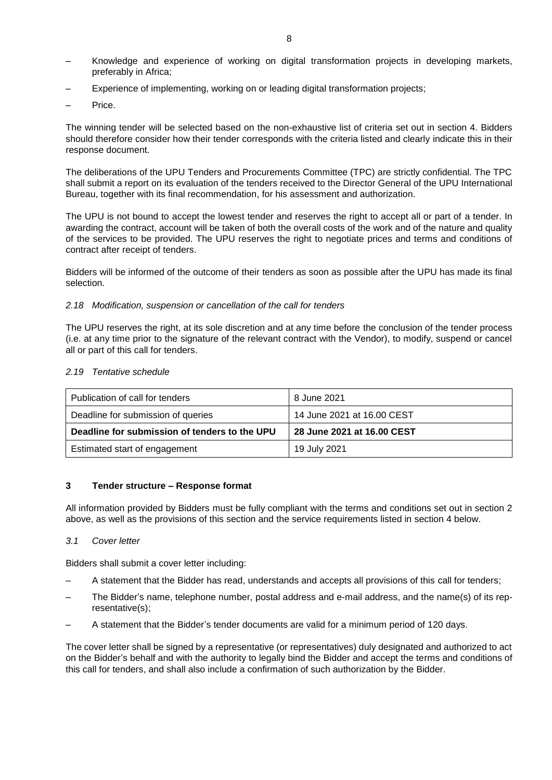- Knowledge and experience of working on digital transformation projects in developing markets, preferably in Africa;
- Experience of implementing, working on or leading digital transformation projects;
- Price.

The winning tender will be selected based on the non-exhaustive list of criteria set out in section 4. Bidders should therefore consider how their tender corresponds with the criteria listed and clearly indicate this in their response document.

The deliberations of the UPU Tenders and Procurements Committee (TPC) are strictly confidential. The TPC shall submit a report on its evaluation of the tenders received to the Director General of the UPU International Bureau, together with its final recommendation, for his assessment and authorization.

The UPU is not bound to accept the lowest tender and reserves the right to accept all or part of a tender. In awarding the contract, account will be taken of both the overall costs of the work and of the nature and quality of the services to be provided. The UPU reserves the right to negotiate prices and terms and conditions of contract after receipt of tenders.

Bidders will be informed of the outcome of their tenders as soon as possible after the UPU has made its final selection.

#### <span id="page-7-0"></span>*2.18 Modification, suspension or cancellation of the call for tenders*

The UPU reserves the right, at its sole discretion and at any time before the conclusion of the tender process (i.e. at any time prior to the signature of the relevant contract with the Vendor), to modify, suspend or cancel all or part of this call for tenders.

#### <span id="page-7-1"></span>*2.19 Tentative schedule*

| Publication of call for tenders               | 8 June 2021                |  |  |
|-----------------------------------------------|----------------------------|--|--|
| Deadline for submission of queries            | 14 June 2021 at 16.00 CEST |  |  |
|                                               | 28 June 2021 at 16.00 CEST |  |  |
| Deadline for submission of tenders to the UPU |                            |  |  |

#### <span id="page-7-2"></span>**3 Tender structure – Response format**

All information provided by Bidders must be fully compliant with the terms and conditions set out in section 2 above, as well as the provisions of this section and the service requirements listed in section 4 below.

#### <span id="page-7-3"></span>*3.1 Cover letter*

Bidders shall submit a cover letter including:

- A statement that the Bidder has read, understands and accepts all provisions of this call for tenders;
- The Bidder's name, telephone number, postal address and e-mail address, and the name(s) of its representative(s);
- A statement that the Bidder's tender documents are valid for a minimum period of 120 days.

The cover letter shall be signed by a representative (or representatives) duly designated and authorized to act on the Bidder's behalf and with the authority to legally bind the Bidder and accept the terms and conditions of this call for tenders, and shall also include a confirmation of such authorization by the Bidder.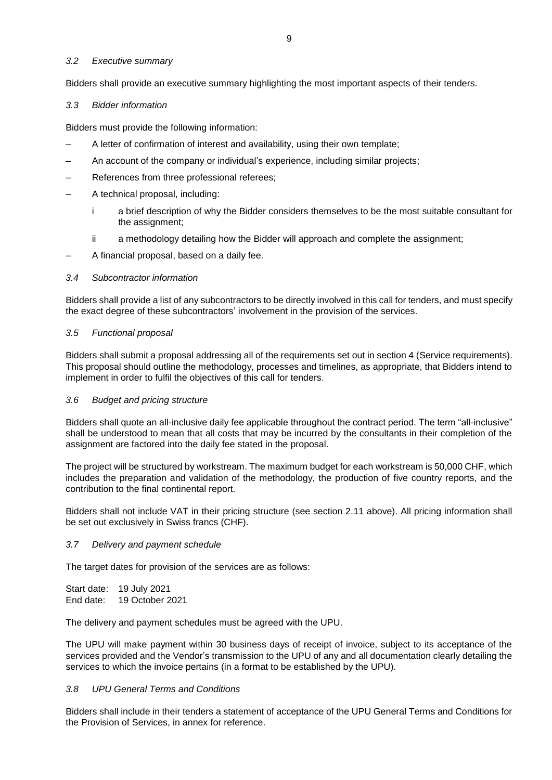#### <span id="page-8-0"></span>*3.2 Executive summary*

Bidders shall provide an executive summary highlighting the most important aspects of their tenders.

#### <span id="page-8-1"></span>*3.3 Bidder information*

Bidders must provide the following information:

- A letter of confirmation of interest and availability, using their own template;
- An account of the company or individual's experience, including similar projects;
- References from three professional referees;
- A technical proposal, including:
	- i a brief description of why the Bidder considers themselves to be the most suitable consultant for the assignment;
	- ii a methodology detailing how the Bidder will approach and complete the assignment;
- A financial proposal, based on a daily fee.

#### <span id="page-8-2"></span>*3.4 Subcontractor information*

Bidders shall provide a list of any subcontractors to be directly involved in this call for tenders, and must specify the exact degree of these subcontractors' involvement in the provision of the services.

#### <span id="page-8-3"></span>*3.5 Functional proposal*

Bidders shall submit a proposal addressing all of the requirements set out in section 4 (Service requirements). This proposal should outline the methodology, processes and timelines, as appropriate, that Bidders intend to implement in order to fulfil the objectives of this call for tenders.

#### <span id="page-8-4"></span>*3.6 Budget and pricing structure*

Bidders shall quote an all-inclusive daily fee applicable throughout the contract period. The term "all-inclusive" shall be understood to mean that all costs that may be incurred by the consultants in their completion of the assignment are factored into the daily fee stated in the proposal.

The project will be structured by workstream. The maximum budget for each workstream is 50,000 CHF, which includes the preparation and validation of the methodology, the production of five country reports, and the contribution to the final continental report.

Bidders shall not include VAT in their pricing structure (see section 2.11 above). All pricing information shall be set out exclusively in Swiss francs (CHF).

## <span id="page-8-5"></span>*3.7 Delivery and payment schedule*

The target dates for provision of the services are as follows:

Start date: 19 July 2021 End date: 19 October 2021

The delivery and payment schedules must be agreed with the UPU.

The UPU will make payment within 30 business days of receipt of invoice, subject to its acceptance of the services provided and the Vendor's transmission to the UPU of any and all documentation clearly detailing the services to which the invoice pertains (in a format to be established by the UPU).

#### <span id="page-8-6"></span>*3.8 UPU General Terms and Conditions*

Bidders shall include in their tenders a statement of acceptance of the UPU General Terms and Conditions for the Provision of Services, in annex for reference.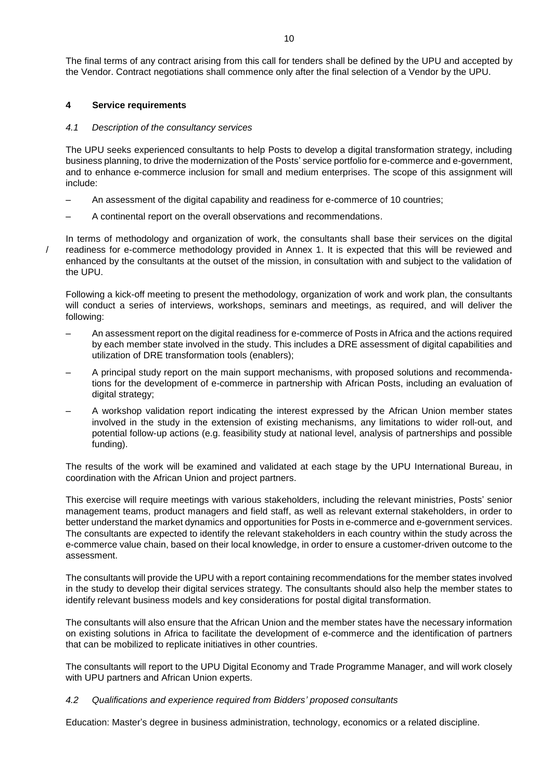The final terms of any contract arising from this call for tenders shall be defined by the UPU and accepted by the Vendor. Contract negotiations shall commence only after the final selection of a Vendor by the UPU.

## <span id="page-9-0"></span>**4 Service requirements**

/

#### <span id="page-9-1"></span>*4.1 Description of the consultancy services*

The UPU seeks experienced consultants to help Posts to develop a digital transformation strategy, including business planning, to drive the modernization of the Posts' service portfolio for e-commerce and e-government, and to enhance e-commerce inclusion for small and medium enterprises. The scope of this assignment will include:

- An assessment of the digital capability and readiness for e-commerce of 10 countries;
- A continental report on the overall observations and recommendations.

In terms of methodology and organization of work, the consultants shall base their services on the digital readiness for e-commerce methodology provided in Annex 1. It is expected that this will be reviewed and enhanced by the consultants at the outset of the mission, in consultation with and subject to the validation of the UPU.

Following a kick-off meeting to present the methodology, organization of work and work plan, the consultants will conduct a series of interviews, workshops, seminars and meetings, as required, and will deliver the following:

- An assessment report on the digital readiness for e-commerce of Posts in Africa and the actions required by each member state involved in the study. This includes a DRE assessment of digital capabilities and utilization of DRE transformation tools (enablers);
- A principal study report on the main support mechanisms, with proposed solutions and recommendations for the development of e-commerce in partnership with African Posts, including an evaluation of digital strategy;
- A workshop validation report indicating the interest expressed by the African Union member states involved in the study in the extension of existing mechanisms, any limitations to wider roll-out, and potential follow-up actions (e.g. feasibility study at national level, analysis of partnerships and possible funding).

The results of the work will be examined and validated at each stage by the UPU International Bureau, in coordination with the African Union and project partners.

This exercise will require meetings with various stakeholders, including the relevant ministries, Posts' senior management teams, product managers and field staff, as well as relevant external stakeholders, in order to better understand the market dynamics and opportunities for Posts in e-commerce and e-government services. The consultants are expected to identify the relevant stakeholders in each country within the study across the e-commerce value chain, based on their local knowledge, in order to ensure a customer-driven outcome to the assessment.

The consultants will provide the UPU with a report containing recommendations for the member states involved in the study to develop their digital services strategy. The consultants should also help the member states to identify relevant business models and key considerations for postal digital transformation.

The consultants will also ensure that the African Union and the member states have the necessary information on existing solutions in Africa to facilitate the development of e-commerce and the identification of partners that can be mobilized to replicate initiatives in other countries.

The consultants will report to the UPU Digital Economy and Trade Programme Manager, and will work closely with UPU partners and African Union experts.

#### <span id="page-9-2"></span>*4.2 Qualifications and experience required from Bidders' proposed consultants*

Education: Master's degree in business administration, technology, economics or a related discipline.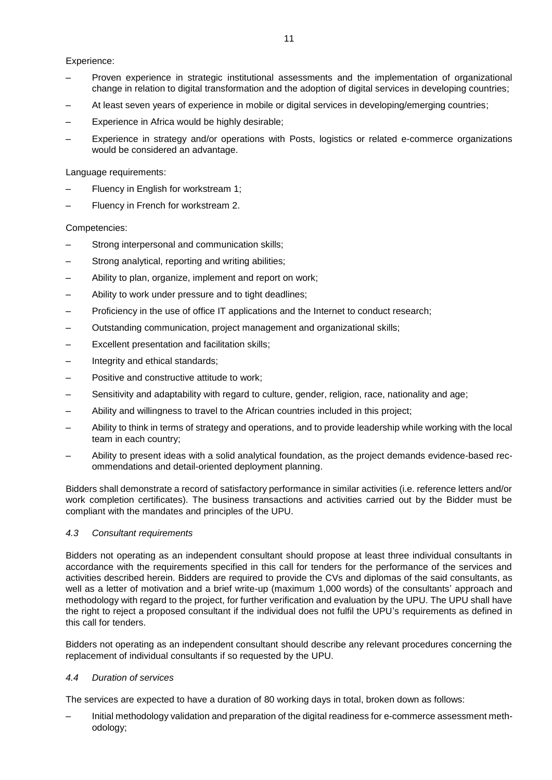## Experience:

- Proven experience in strategic institutional assessments and the implementation of organizational change in relation to digital transformation and the adoption of digital services in developing countries;
- At least seven years of experience in mobile or digital services in developing/emerging countries;
- Experience in Africa would be highly desirable;
- Experience in strategy and/or operations with Posts, logistics or related e-commerce organizations would be considered an advantage.

Language requirements:

- Fluency in English for workstream 1;
- Fluency in French for workstream 2.

#### Competencies:

- Strong interpersonal and communication skills;
- Strong analytical, reporting and writing abilities;
- Ability to plan, organize, implement and report on work;
- Ability to work under pressure and to tight deadlines;
- Proficiency in the use of office IT applications and the Internet to conduct research;
- Outstanding communication, project management and organizational skills;
- Excellent presentation and facilitation skills;
- Integrity and ethical standards;
- Positive and constructive attitude to work;
- Sensitivity and adaptability with regard to culture, gender, religion, race, nationality and age;
- Ability and willingness to travel to the African countries included in this project;
- Ability to think in terms of strategy and operations, and to provide leadership while working with the local team in each country;
- Ability to present ideas with a solid analytical foundation, as the project demands evidence-based recommendations and detail-oriented deployment planning.

Bidders shall demonstrate a record of satisfactory performance in similar activities (i.e. reference letters and/or work completion certificates). The business transactions and activities carried out by the Bidder must be compliant with the mandates and principles of the UPU.

#### <span id="page-10-0"></span>*4.3 Consultant requirements*

Bidders not operating as an independent consultant should propose at least three individual consultants in accordance with the requirements specified in this call for tenders for the performance of the services and activities described herein. Bidders are required to provide the CVs and diplomas of the said consultants, as well as a letter of motivation and a brief write-up (maximum 1,000 words) of the consultants' approach and methodology with regard to the project, for further verification and evaluation by the UPU. The UPU shall have the right to reject a proposed consultant if the individual does not fulfil the UPU's requirements as defined in this call for tenders.

Bidders not operating as an independent consultant should describe any relevant procedures concerning the replacement of individual consultants if so requested by the UPU.

#### <span id="page-10-1"></span>*4.4 Duration of services*

The services are expected to have a duration of 80 working days in total, broken down as follows:

– Initial methodology validation and preparation of the digital readiness for e-commerce assessment methodology;